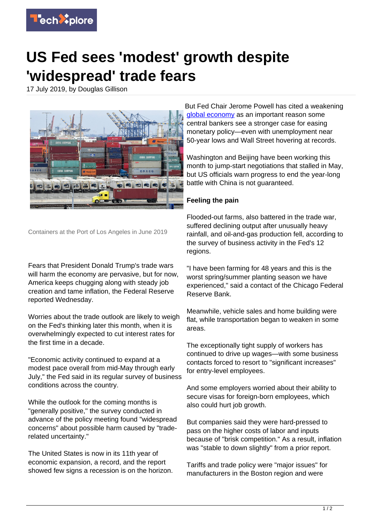

## **US Fed sees 'modest' growth despite 'widespread' trade fears**

17 July 2019, by Douglas Gillison



Containers at the Port of Los Angeles in June 2019

Fears that President Donald Trump's trade wars will harm the economy are pervasive, but for now, America keeps chugging along with steady job creation and tame inflation, the Federal Reserve reported Wednesday.

Worries about the trade outlook are likely to weigh on the Fed's thinking later this month, when it is overwhelmingly expected to cut interest rates for the first time in a decade.

"Economic activity continued to expand at a modest pace overall from mid-May through early July," the Fed said in its regular survey of business conditions across the country.

While the outlook for the coming months is "generally positive," the survey conducted in advance of the policy meeting found "widespread concerns" about possible harm caused by "traderelated uncertainty."

The United States is now in its 11th year of economic expansion, a record, and the report showed few signs a recession is on the horizon. But Fed Chair Jerome Powell has cited a weakening [global economy](https://techxplore.com/tags/global+economy/) as an important reason some central bankers see a stronger case for easing monetary policy—even with unemployment near 50-year lows and Wall Street hovering at records.

Washington and Beijing have been working this month to jump-start negotiations that stalled in May, but US officials warn progress to end the year-long battle with China is not guaranteed.

## **Feeling the pain**

Flooded-out farms, also battered in the trade war, suffered declining output after unusually heavy rainfall, and oil-and-gas production fell, according to the survey of business activity in the Fed's 12 regions.

"I have been farming for 48 years and this is the worst spring/summer planting season we have experienced," said a contact of the Chicago Federal Reserve Bank.

Meanwhile, vehicle sales and home building were flat, while transportation began to weaken in some areas.

The exceptionally tight supply of workers has continued to drive up wages—with some business contacts forced to resort to "significant increases" for entry-level employees.

And some employers worried about their ability to secure visas for foreign-born employees, which also could hurt job growth.

But companies said they were hard-pressed to pass on the higher costs of labor and inputs because of "brisk competition." As a result, inflation was "stable to down slightly" from a prior report.

Tariffs and trade policy were "major issues" for manufacturers in the Boston region and were